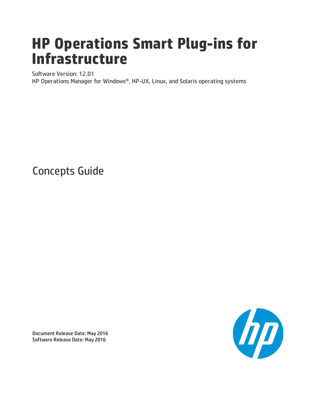# **HP Operations Smart Plug-ins for Infrastructure**

Software Version: 12.01

HP Operations Manager for Windows®, HP-UX, Linux, and Solaris operating systems

Concepts Guide



Document Release Date: May 2016 Software Release Date: May 2016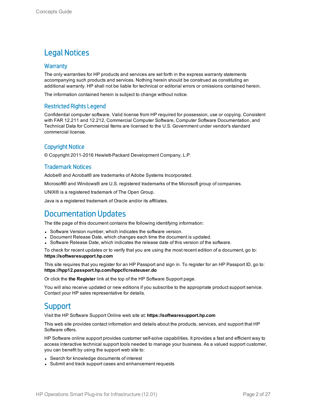### Legal Notices

### **Warranty**

The only warranties for HP products and services are set forth in the express warranty statements accompanying such products and services. Nothing herein should be construed as constituting an additional warranty. HP shall not be liable for technical or editorial errors or omissions contained herein.

The information contained herein is subject to change without notice.

### Restricted Rights Legend

Confidential computer software. Valid license from HP required for possession, use or copying. Consistent with FAR 12.211 and 12.212, Commercial Computer Software, Computer Software Documentation, and Technical Data for Commercial Items are licensed to the U.S. Government under vendor's standard commercial license.

### Copyright Notice

© Copyright 2011-2016 Hewlett-Packard Development Company, L.P.

### Trademark Notices

Adobe® and Acrobat® are trademarks of Adobe Systems Incorporated.

Microsoft® and Windows® are U.S. registered trademarks of the Microsoft group of companies.

UNIX® is a registered trademark of The Open Group.

Java is a registered trademark of Oracle and/or its affiliates.

### Documentation Updates

The title page of this document contains the following identifying information:

- Software Version number, which indicates the software version.
- Document Release Date, which changes each time the document is updated.
- <sup>l</sup> Software Release Date, which indicates the release date of this version of the software.

To check for recent updates or to verify that you are using the most recent edition of a document, go to: **https://softwaresupport.hp.com**

This site requires that you register for an HP Passport and sign in. To register for an HP Passport ID, go to: **https://hpp12.passport.hp.com/hppcf/createuser.do**

Or click the **the Register** link at the top of the HP Software Support page.

You will also receive updated or new editions if you subscribe to the appropriate product support service. Contact your HP sales representative for details.

### **Support**

Visit the HP Software Support Online web site at: **https://softwaresupport.hp.com**

This web site provides contact information and details about the products, services, and support that HP Software offers.

HP Software online support provides customer self-solve capabilities. It provides a fast and efficient way to access interactive technical support tools needed to manage your business. As a valued support customer, you can benefit by using the support web site to:

- Search for knowledge documents of interest
- Submit and track support cases and enhancement requests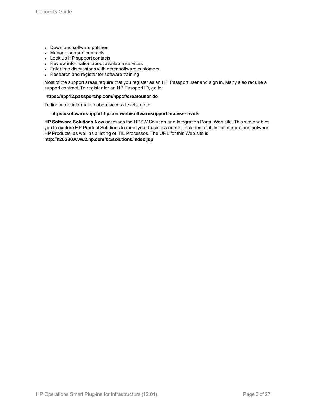- Download software patches
- Manage support contracts
- Look up HP support contacts
- Review information about available services
- Enter into discussions with other software customers
- Research and register for software training

Most of the support areas require that you register as an HP Passport user and sign in. Many also require a support contract. To register for an HP Passport ID, go to:

#### **https://hpp12.passport.hp.com/hppcf/createuser.do**

To find more information about access levels, go to:

#### **https://softwaresupport.hp.com/web/softwaresupport/access-levels**

**HP Software Solutions Now** accesses the HPSW Solution and Integration Portal Web site. This site enables you to explore HP Product Solutions to meet your business needs, includes a full list of Integrations between HP Products, as well as a listing of ITIL Processes. The URL for this Web site is **http://h20230.www2.hp.com/sc/solutions/index.jsp**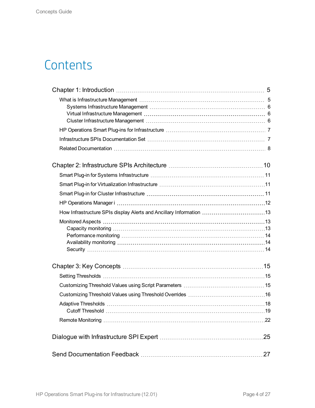## **Contents**

| How Infrastructure SPIs display Alerts and Ancillary Information 13 |     |
|---------------------------------------------------------------------|-----|
|                                                                     |     |
|                                                                     |     |
|                                                                     |     |
|                                                                     |     |
|                                                                     |     |
|                                                                     |     |
|                                                                     |     |
|                                                                     |     |
|                                                                     |     |
|                                                                     |     |
|                                                                     |     |
|                                                                     | .27 |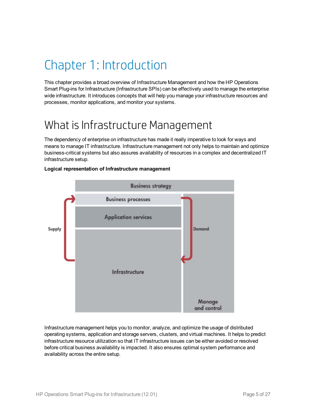## <span id="page-4-0"></span>Chapter 1: Introduction

This chapter provides a broad overview of Infrastructure Management and how the HP Operations Smart Plug-ins for Infrastructure (Infrastructure SPIs) can be effectively used to manage the enterprise wide infrastructure. It introduces concepts that will help you manage your infrastructure resources and processes, monitor applications, and monitor your systems.

## <span id="page-4-1"></span>What is Infrastructure Management

The dependency of enterprise on infrastructure has made it really imperative to look for ways and means to manage IT infrastructure. Infrastructure management not only helps to maintain and optimize business-critical systems but also assures availability of resources in a complex and decentralized IT infrastructure setup.



### **Logical representation of Infrastructure management**

Infrastructure management helps you to monitor, analyze, and optimize the usage of distributed operating systems, application and storage servers, clusters, and virtual machines. It helps to predict infrastructure resource utilization so that IT infrastructure issues can be either avoided or resolved before critical business availability is impacted. It also ensures optimal system performance and availability across the entire setup.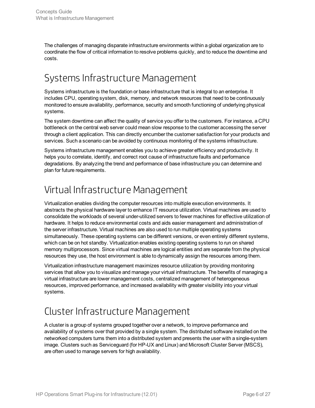The challenges of managing disparate infrastructure environments within a global organization are to coordinate the flow of critical information to resolve problems quickly, and to reduce the downtime and costs.

### <span id="page-5-0"></span>Systems Infrastructure Management

Systems infrastructure is the foundation or base infrastructure that is integral to an enterprise. It includes CPU, operating system, disk, memory, and network resources that need to be continuously monitored to ensure availability, performance, security and smooth functioning of underlying physical systems.

The system downtime can affect the quality of service you offer to the customers. For instance, a CPU bottleneck on the central web server could mean slow response to the customer accessing the server through a client application. This can directly encumber the customer satisfaction for your products and services. Such a scenario can be avoided by continuous monitoring of the systems infrastructure.

Systems infrastructure management enables you to achieve greater efficiency and productivity. It helps you to correlate, identify, and correct root cause of infrastructure faults and performance degradations. By analyzing the trend and performance of base infrastructure you can determine and plan for future requirements.

### <span id="page-5-1"></span>Virtual Infrastructure Management

Virtualization enables dividing the computer resources into multiple execution environments. It abstracts the physical hardware layer to enhance IT resource utilization. Virtual machines are used to consolidate the workloads of several under-utilized servers to fewer machines for effective utilization of hardware. It helps to reduce environmental costs and aids easier management and administration of the server infrastructure. Virtual machines are also used to run multiple operating systems simultaneously. These operating systems can be different versions, or even entirely different systems, which can be on hot standby. Virtualization enables existing operating systems to run on shared memory multiprocessors. Since virtual machines are logical entities and are separate from the physical resources they use, the host environment is able to dynamically assign the resources among them.

Virtualization infrastructure management maximizes resource utilization by providing monitoring services that allow you to visualize and manage your virtual infrastructure. The benefits of managing a virtual infrastructure are lower management costs, centralized management of heterogeneous resources, improved performance, and increased availability with greater visibility into your virtual systems.

### <span id="page-5-2"></span>Cluster Infrastructure Management

A cluster is a group of systems grouped together over a network, to improve performance and availability of systems over that provided by a single system. The distributed software installed on the networked computers turns them into a distributed system and presents the user with a single-system image. Clusters such as Serviceguard (for HP-UX and Linux) and Microsoft Cluster Server (MSCS), are often used to manage servers for high availability.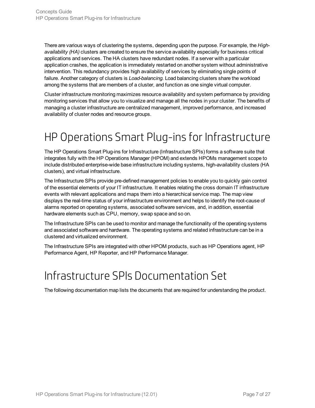There are various ways of clustering the systems, depending upon the purpose. For example, the *Highavailability (HA)* clusters are created to ensure the service availability especially for business critical applications and services. The HA clusters have redundant nodes. If a server with a particular application crashes, the application is immediately restarted on another system without administrative intervention. This redundancy provides high availability of services by eliminating single points of failure. Another category of clusters is *Load-balancing.* Load balancing clusters share the workload among the systems that are members of a cluster, and function as one single virtual computer.

Cluster infrastructure monitoring maximizes resource availability and system performance by providing monitoring services that allow you to visualize and manage all the nodes in your cluster. The benefits of managing a cluster infrastructure are centralized management, improved performance, and increased availability of cluster nodes and resource groups.

## <span id="page-6-0"></span>HP Operations Smart Plug-ins for Infrastructure

The HP Operations Smart Plug-ins for Infrastructure (Infrastructure SPIs) forms a software suite that integrates fully with the HP Operations Manager (HPOM) and extends HPOMs management scope to include distributed enterprise-wide base infrastructure including systems, high-availability clusters (HA clusters), and virtual infrastructure.

The Infrastructure SPIs provide pre-defined management policies to enable you to quickly gain control of the essential elements of your IT infrastructure. It enables relating the cross domain IT infrastructure events with relevant applications and maps them into a hierarchical service map. The map view displays the real-time status of your infrastructure environment and helps to identify the root-cause of alarms reported on operating systems, associated software services, and, in addition, essential hardware elements such as CPU, memory, swap space and so on.

The Infrastructure SPIs can be used to monitor and manage the functionality of the operating systems and associated software and hardware. The operating systems and related infrastructure can be in a clustered and virtualized environment.

<span id="page-6-1"></span>The Infrastructure SPIs are integrated with other HPOM products, such as HP Operations agent, HP Performance Agent, HP Reporter, and HP Performance Manager.

## Infrastructure SPIs Documentation Set

The following documentation map lists the documents that are required for understanding the product.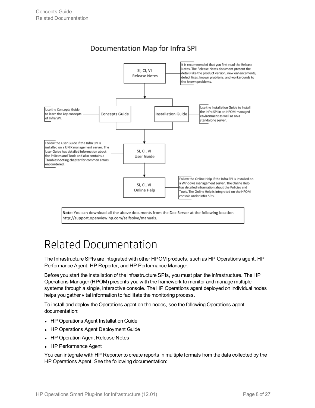

### Documentation Map for Infra SPI

Note: You can download all the above documents from the Doc Server at the following location http://support.openview.hp.com/selfsolve/manuals.

## <span id="page-7-0"></span>Related Documentation

The Infrastructure SPIs are integrated with other HPOM products, such as HP Operations agent, HP Performance Agent, HP Reporter, and HP Performance Manager.

Before you start the installation of the infrastructure SPIs, you must plan the infrastructure. The HP Operations Manager (HPOM) presents you with the framework to monitor and manage multiple systems through a single, interactive console. The HP Operations agent deployed on individual nodes helps you gather vital information to facilitate the monitoring process.

To install and deploy the Operations agent on the nodes, see the following Operations agent documentation:

- HP Operations Agent Installation Guide
- HP Operations Agent Deployment Guide
- HP Operation Agent Release Notes
- HP Performance Agent

You can integrate with HP Reporter to create reports in multiple formats from the data collected by the HP Operations Agent. See the following documentation: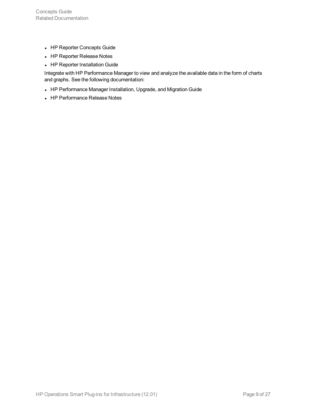- HP Reporter Concepts Guide
- HP Reporter Release Notes
- HP Reporter Installation Guide

Integrate with HP Performance Manager to view and analyze the available data in the form of charts and graphs. See the following documentation:

- HP Performance Manager Installation, Upgrade, and Migration Guide
- HP Performance Release Notes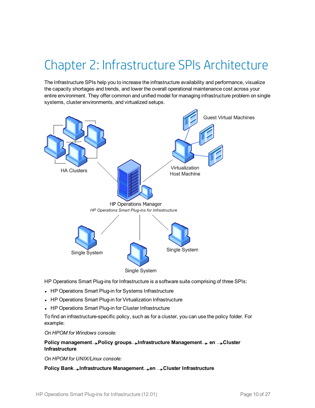## <span id="page-9-0"></span>Chapter 2: Infrastructure SPIs Architecture

The Infrastructure SPIs help you to increase the infrastructure availability and performance, visualize the capacity shortages and trends, and lower the overall operational maintenance cost across your entire environment. They offer common and unified model for managing infrastructure problem on single systems, cluster environments, and virtualized setups.



HP Operations Smart Plug-ins for Infrastructure is a software suite comprising of three SPIs:

- HP Operations Smart Plug-in for Systems Infrastructure
- HP Operations Smart Plug-in for Virtualization Infrastructure
- HP Operations Smart Plug-in for Cluster Infrastructure

To find an infrastructure-specific policy, such as for a cluster, you can use the policy folder. For example:

*On HPOM for Windows console:*

### **Policy management Policy groups Infrastructure Management en Cluster Infrastructure**

*On HPOM for UNIX/Linux console:*

**Policy Bank Infrastructure Management en Cluster Infrastructure**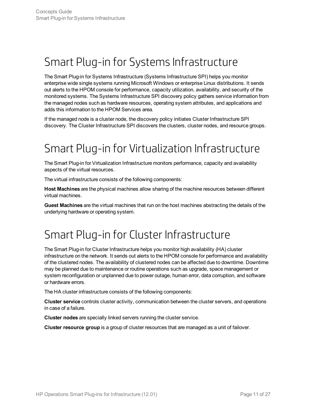## <span id="page-10-0"></span>Smart Plug-in for Systems Infrastructure

The Smart Plug-in for Systems Infrastructure (Systems Infrastructure SPI) helps you monitor enterprise wide single systems running Microsoft Windows or enterprise Linux distributions. It sends out alerts to the HPOM console for performance, capacity utilization, availability, and security of the monitored systems. The Systems Infrastructure SPI discovery policy gathers service information from the managed nodes such as hardware resources, operating system attributes, and applications and adds this information to the HPOM Services area.

<span id="page-10-1"></span>If the managed node is a cluster node, the discovery policy initiates Cluster Infrastructure SPI discovery. The Cluster Infrastructure SPI discovers the clusters, cluster nodes, and resource groups.

## Smart Plug-in for Virtualization Infrastructure

The Smart Plug-in for Virtualization Infrastructure monitors performance, capacity and availability aspects of the virtual resources.

The virtual infrastructure consists of the following components:

**Host Machines** are the physical machines allow sharing of the machine resources between different virtual machines.

<span id="page-10-2"></span>**Guest Machines** are the virtual machines that run on the host machines abstracting the details of the underlying hardware or operating system.

## Smart Plug-in for Cluster Infrastructure

The Smart Plug-in for Cluster Infrastructure helps you monitor high availability (HA) cluster infrastructure on the network. It sends out alerts to the HPOM console for performance and availability of the clustered nodes. The availability of clustered nodes can be affected due to downtime. Downtime may be planned due to maintenance or routine operations such as upgrade, space management or system reconfiguration or unplanned due to power outage, human error, data corruption, and software or hardware errors.

The HA cluster infrastructure consists of the following components:

**Cluster service** controls cluster activity, communication between the cluster servers, and operations in case of a failure.

**Cluster nodes** are specially linked servers running the cluster service.

**Cluster resource group** is a group of cluster resources that are managed as a unit of failover.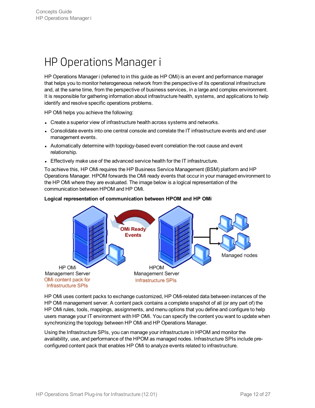## <span id="page-11-0"></span>HP Operations Manager i

HP Operations Manager i (referred to in this guide as HP OMi) is an event and performance manager that helps you to monitor heterogeneous network from the perspective of its operational infrastructure and, at the same time, from the perspective of business services, in a large and complex environment. It is responsible for gathering information about infrastructure health, systems, and applications to help identify and resolve specific operations problems.

HP OMi helps you achieve the following:

HP OMi

Management Server

OMi content pack for

**Infrastructure SPIs** 

- Create a superior view of infrastructure health across systems and networks.
- Consolidate events into one central console and correlate the IT infrastructure events and end user management events.
- Automatically determine with topology-based event correlation the root cause and event relationship.
- Effectively make use of the advanced service health for the IT infrastructure.

To achieve this, HP OMi requires the HP Business Service Management (BSM) platform and HP Operations Manager. HPOM forwards the OMi ready events that occur in your managed environment to the HP OMi where they are evaluated. The image below is a logical representation of the communication between HPOM and HP OMi.

# **OMi Ready Events** Managed nodes

### **Logical representation of communication between HPOM and HP OMi**

HP OMi uses content packs to exchange customized, HP OMi-related data between instances of the HP OMi management server. A content pack contains a complete snapshot of all (or any part of) the HP OMi rules, tools, mappings, assignments, and menu options that you define and configure to help users manage your IT environment with HP OMi. You can specify the content you want to update when synchronizing the topology between HP OMi and HP Operations Manager.

**HPOM** 

Management Server

**Infrastructure SPIs** 

Using the Infrastructure SPIs, you can manage your infrastructure in HPOM and monitor the availability, use, and performance of the HPOM as managed nodes. Infrastructure SPIs include preconfigured content pack that enables HP OMi to analyze events related to infrastructure.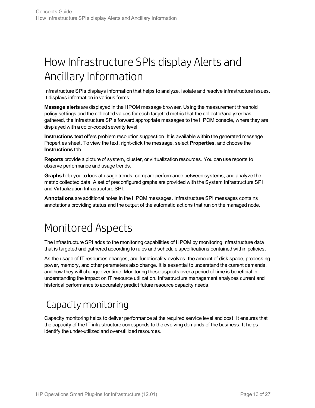## <span id="page-12-0"></span>How Infrastructure SPIs display Alerts and Ancillary Information

Infrastructure SPIs displays information that helps to analyze, isolate and resolve infrastructure issues. It displays information in various forms:

**Message alerts** are displayed in the HPOM message browser. Using the measurement threshold policy settings and the collected values for each targeted metric that the collector/analyzer has gathered, the Infrastructure SPIs forward appropriate messages to the HPOM console, where they are displayed with a color-coded severity level.

**Instructions text** offers problem resolution suggestion. It is available within the generated message Properties sheet. To view the text, right-click the message, select **Properties**, and choose the **Instructions** tab.

**Reports** provide a picture of system, cluster, or virtualization resources. You can use reports to observe performance and usage trends.

**Graphs** help you to look at usage trends, compare performance between systems, and analyze the metric collected data. A set of preconfigured graphs are provided with the System Infrastructure SPI and Virtualization Infrastructure SPI.

<span id="page-12-1"></span>**Annotations** are additional notes in the HPOM messages. Infrastructure SPI messages contains annotations providing status and the output of the automatic actions that run on the managed node.

## Monitored Aspects

The Infrastructure SPI adds to the monitoring capabilities of HPOM by monitoring Infrastructure data that is targeted and gathered according to rules and schedule specifications contained within policies.

As the usage of IT resources changes, and functionality evolves, the amount of disk space, processing power, memory, and other parameters also change. It is essential to understand the current demands, and how they will change over time. Monitoring these aspects over a period of time is beneficial in understanding the impact on IT resource utilization. Infrastructure management analyzes current and historical performance to accurately predict future resource capacity needs.

### <span id="page-12-2"></span>Capacity monitoring

Capacity monitoring helps to deliver performance at the required service level and cost. It ensures that the capacity of the IT infrastructure corresponds to the evolving demands of the business. It helps identify the under-utilized and over-utilized resources.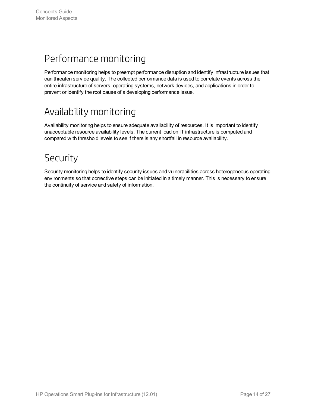### <span id="page-13-0"></span>Performance monitoring

Performance monitoring helps to preempt performance disruption and identify infrastructure issues that can threaten service quality. The collected performance data is used to correlate events across the entire infrastructure of servers, operating systems, network devices, and applications in order to prevent or identify the root cause of a developing performance issue.

### <span id="page-13-1"></span>Availability monitoring

Availability monitoring helps to ensure adequate availability of resources. It is important to identify unacceptable resource availability levels. The current load on IT infrastructure is computed and compared with threshold levels to see if there is any shortfall in resource availability.

### <span id="page-13-2"></span>Security

Security monitoring helps to identify security issues and vulnerabilities across heterogeneous operating environments so that corrective steps can be initiated in a timely manner. This is necessary to ensure the continuity of service and safety of information.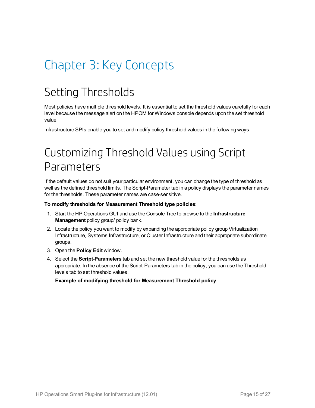# <span id="page-14-1"></span><span id="page-14-0"></span>Chapter 3: Key Concepts

## Setting Thresholds

Most policies have multiple threshold levels. It is essential to set the threshold values carefully for each level because the message alert on the HPOM for Windows console depends upon the set threshold value.

<span id="page-14-2"></span>Infrastructure SPIs enable you to set and modify policy threshold values in the following ways:

## Customizing Threshold Values using Script Parameters

If the default values do not suit your particular environment, you can change the type of threshold as well as the defined threshold limits. The Script-Parameter tab in a policy displays the parameter names for the thresholds. These parameter names are case-sensitive.

#### **To modify thresholds for Measurement Threshold type policies:**

- 1. Start the HP Operations GUI and use the Console Tree to browse to the **Infrastructure Management** policy group/ policy bank.
- 2. Locate the policy you want to modify by expanding the appropriate policy group Virtualization Infrastructure, Systems Infrastructure, or Cluster Infrastructure and their appropriate subordinate groups.
- 3. Open the **Policy Edit** window.
- 4. Select the **Script-Parameters** tab and set the new threshold value for the thresholds as appropriate. In the absence of the Script-Parameters tab in the policy, you can use the Threshold levels tab to set threshold values.

**Example of modifying threshold for Measurement Threshold policy**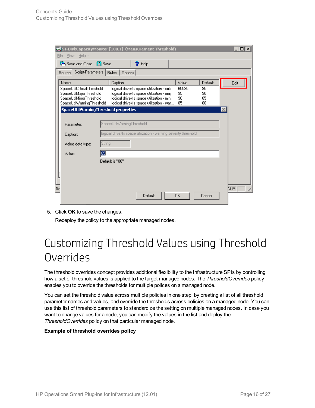|                                                                             |                                                                                                               |                 | SI-DiskCapacityMonitor [100.1] (Measurement Threshold)                                                                                                                         |                         |                      | $\overline{\mathbf{L}^{\mathbb{C}}$ |
|-----------------------------------------------------------------------------|---------------------------------------------------------------------------------------------------------------|-----------------|--------------------------------------------------------------------------------------------------------------------------------------------------------------------------------|-------------------------|----------------------|-------------------------------------|
|                                                                             | File<br>View Help -                                                                                           |                 |                                                                                                                                                                                |                         |                      |                                     |
|                                                                             | Save and Close [4] Save                                                                                       |                 | ?<br>Help                                                                                                                                                                      |                         |                      |                                     |
|                                                                             | Script-Parameters   Rules   Options  <br>Source                                                               |                 |                                                                                                                                                                                |                         |                      |                                     |
|                                                                             | Name                                                                                                          | Caption         |                                                                                                                                                                                | Value                   | Default              | Edit                                |
|                                                                             | SpaceUtilCriticalThreshold<br>SpaceUtilMajorThreshold<br>SpaceUtilMinorThreshold<br>SpaceUtilWarningThreshold |                 | logical drive/fs space utilization - criti<br>logical drive/fs space utilization - maj<br>logical drive/fs space utilization - min<br>logical drive/fs space utilization - war | 65535<br>95<br>90<br>85 | 95<br>90<br>85<br>80 |                                     |
|                                                                             | SpaceUtilWarningThreshold properties                                                                          |                 |                                                                                                                                                                                |                         |                      | ⊠                                   |
| SpaceUtilWarningThreshold<br>Parameter:                                     |                                                                                                               |                 |                                                                                                                                                                                |                         |                      |                                     |
| logical drive/fs space utilization - warning severity threshold<br>Caption: |                                                                                                               |                 |                                                                                                                                                                                |                         |                      |                                     |
| String<br>Value data type:                                                  |                                                                                                               |                 |                                                                                                                                                                                |                         |                      |                                     |
| 85<br>Value:                                                                |                                                                                                               |                 |                                                                                                                                                                                |                         |                      |                                     |
|                                                                             |                                                                                                               | Default is "80" |                                                                                                                                                                                |                         |                      |                                     |
| Re                                                                          |                                                                                                               |                 | Default                                                                                                                                                                        | 0K                      | Cancel               | NUM.                                |

5. Click **OK** to save the changes.

<span id="page-15-0"></span>Redeploy the policy to the appropriate managed nodes.

## Customizing Threshold Values using Threshold **Overrides**

The threshold overrides concept provides additional flexibility to the Infrastructure SPIs by controlling how a set of threshold values is applied to the target managed nodes. The *ThresholdOverrides* policy enables you to override the thresholds for multiple polices on a managed node.

You can set the threshold value across multiple policies in one step, by creating a list of all threshold parameter names and values, and override the thresholds across policies on a managed node. You can use this list of threshold parameters to standardize the setting on multiple managed nodes. In case you want to change values for a node, you can modify the values in the list and deploy the *ThresholdOverrides* policy on that particular managed node.

#### **Example of threshold overrides policy**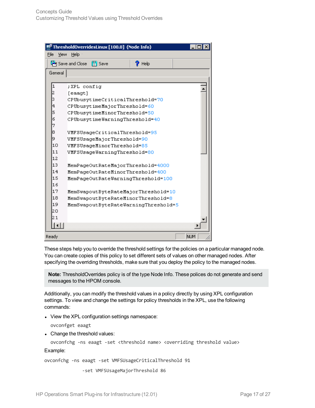|              | 트 ThresholdOverridesLinux [100.0] (Node Info)    |      |  |
|--------------|--------------------------------------------------|------|--|
| File<br>View | Help -                                           |      |  |
|              | Save and Close<br><b>圖</b> Save<br>$\gamma$ Help |      |  |
| General      |                                                  |      |  |
|              |                                                  |      |  |
| 1            | :XPL config                                      |      |  |
| 2            | [eaagt]                                          |      |  |
| 3            | CPUbusytimeCriticalThreshold=70                  |      |  |
| 4            | CPUbusytimeMajorThreshold=60                     |      |  |
| 5            | CPUbusytimeMinorThreshold=50                     |      |  |
| 6            | CPUbusytimeWarningThreshold=40                   |      |  |
| 7            |                                                  |      |  |
| 8            | VMFSUsageCriticalThreshold=95                    |      |  |
|              | 9<br>VMFSUsageMajorThreshold=90                  |      |  |
|              | 10<br>VMFSUsageMinorThreshold=85                 |      |  |
| 11           | VMFSUsageWarningThreshold=80                     |      |  |
| 12           |                                                  |      |  |
| 13           | MemPageOutRateMajorThreshold=4000                |      |  |
| 14           | MemPageOutRateMinorThreshold=400                 |      |  |
| 15           | MemPageOutRateWarningThreshold=100               |      |  |
| 16           |                                                  |      |  |
| 17           | MemSwapoutByteRateMajorThreshold=10              |      |  |
| 18           | MemSwapoutByteRateMinorThreshold=8               |      |  |
| 19           | MemSwapoutByteRateWarningThreshold=5             |      |  |
| 20           |                                                  |      |  |
| 21           |                                                  |      |  |
|              |                                                  |      |  |
| Ready        |                                                  | NUM. |  |

These steps help you to override the threshold settings for the policies on a particular managed node. You can create copies of this policy to set different sets of values on other managed nodes. After specifying the overriding thresholds, make sure that you deploy the policy to the managed nodes.

**Note:** ThresholdOverrides policy is of the type Node Info. These polices do not generate and send messages to the HPOM console.

Additionally, you can modify the threshold values in a policy directly by using XPL configuration settings. To view and change the settings for policy thresholds in the XPL, use the following commands:

• View the XPL configuration settings namespace:

ovconfget eaagt

• Change the threshold values:

ovconfchg -ns eaagt -set <threshold name> <overriding threshold value>

Example:

ovconfchg -ns eaagt -set VMFSUsageCriticalThreshold 91

-set VMFSUsageMajorThreshold 86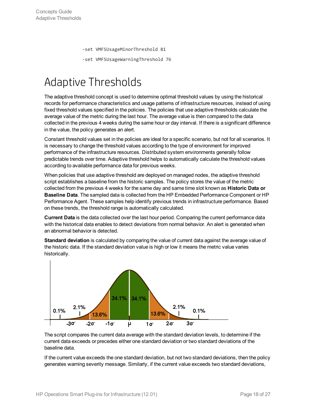-set VMFSUsageMinorThreshold 81

-set VMFSUsageWarningThreshold 76

## <span id="page-17-0"></span>Adaptive Thresholds

The adaptive threshold concept is used to determine optimal threshold values by using the historical records for performance characteristics and usage patterns of infrastructure resources, instead of using fixed threshold values specified in the policies. The policies that use adaptive thresholds calculate the average value of the metric during the last hour. The average value is then compared to the data collected in the previous 4 weeks during the same hour or day interval. If there is a significant difference in the value, the policy generates an alert.

Constant threshold values set in the policies are ideal for a specific scenario, but not for all scenarios. It is necessary to change the threshold values according to the type of environment for improved performance of the infrastructure resources. Distributed system environments generally follow predictable trends over time. Adaptive threshold helps to automatically calculate the threshold values according to available performance data for previous weeks.

When policies that use adaptive threshold are deployed on managed nodes, the adaptive threshold script establishes a baseline from the historic samples. The policy stores the value of the metric collected from the previous 4 weeks for the same day and same time slot known as **Historic Data or Baseline Data**. The sampled data is collected from the HP Embedded Performance Component or HP Performance Agent. These samples help identify previous trends in infrastructure performance. Based on these trends, the threshold range is automatically calculated.

**Current Data** is the data collected over the last hour period. Comparing the current performance data with the historical data enables to detect deviations from normal behavior. An alert is generated when an abnormal behavior is detected.

**Standard deviation** is calculated by comparing the value of current data against the average value of the historic data. If the standard deviation value is high or low it means the metric value varies historically.



The script compares the current data average with the standard deviation levels, to determine if the current data exceeds or precedes either one standard deviation or two standard deviations of the baseline data.

If the current value exceeds the one standard deviation, but not two standard deviations, then the policy generates warning severity message. Similarly, if the current value exceeds two standard deviations,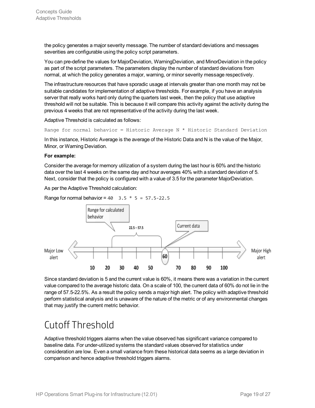the policy generates a major severity message. The number of standard deviations and messages severities are configurable using the policy script parameters.

You can pre-define the values for MajorDeviation, WarningDeviation, and MinorDeviation in the policy as part of the script parameters. The parameters display the number of standard deviations from normal, at which the policy generates a major, warning, or minor severity message respectively.

The infrastructure resources that have sporadic usage at intervals greater than one month may not be suitable candidates for implementation of adaptive thresholds. For example, if you have an analysis server that really works hard only during the quarters last week, then the policy that use adaptive threshold will not be suitable. This is because it will compare this activity against the activity during the previous 4 weeks that are not representative of the activity during the last week.

Adaptive Threshold is calculated as follows:

Range for normal behavior = Historic Average N  $*$  Historic Standard Deviation

In this instance, Historic Average is the average of the Historic Data and N is the value of the Major, Minor, or Warning Deviation.

#### **For example:**

Consider the average for memory utilization of a system during the last hour is 60% and the historic data over the last 4 weeks on the same day and hour averages 40% with a standard deviation of 5. Next, consider that the policy is configured with a value of 3.5 for the parameter MajorDeviation.

As per the Adaptive Threshold calculation:

Range for normal behavior =  $40$  3.5  $*$  5 =  $57.5 - 22.5$ 



Since standard deviation is 5 and the current value is 60%, it means there was a variation in the current value compared to the average historic data. On a scale of 100, the current data of 60% do not lie in the range of 57.5-22.5%. As a result the policy sends a major high alert. The policy with adaptive threshold perform statistical analysis and is unaware of the nature of the metric or of any environmental changes that may justify the current metric behavior.

### <span id="page-18-0"></span>Cutoff Threshold

Adaptive threshold triggers alarms when the value observed has significant variance compared to baseline data. For under-utilized systems the standard values observed for statistics under consideration are low. Even a small variance from these historical data seems as a large deviation in comparison and hence adaptive threshold triggers alarms.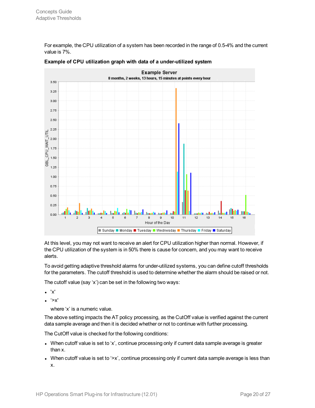For example, the CPU utilization of a system has been recorded in the range of 0.5-4% and the current value is 7%.



#### **Example of CPU utilization graph with data of a under-utilized system**

At this level, you may not want to receive an alert for CPU utilization higher than normal. However, if the CPU utilization of the system is in 50% there is cause for concern, and you may want to receive alerts.

To avoid getting adaptive threshold alarms for under-utilized systems, you can define cutoff thresholds for the parameters. The cutoff threshold is used to determine whether the alarm should be raised or not.

The cutoff value (say 'x') can be set in the following two ways:

- $\bullet$  'x'
- $\bullet$  '>x'

where 'x' is a numeric value.

The above setting impacts the AT policy processing, as the CutOff value is verified against the current data sample average and then it is decided whether or not to continue with further processing.

The CutOff value is checked for the following conditions:

- When cutoff value is set to 'x', continue processing only if current data sample average is greater than x.
- When cutoff value is set to '>x', continue processing only if current data sample average is less than x.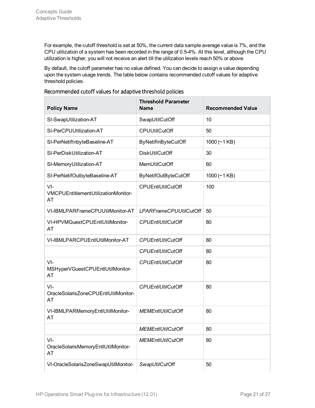For example, the cutoff threshold is set at 50%, the current data sample average value is 7%, and the CPU utilization of a system has been recorded in the range of 0.5-4%. At this level, although the CPU utilization is higher, you will not receive an alert till the utilization levels reach 50% or above.

By default, the cutoff parameter has no value defined. You can decide to assign a value depending upon the system usage trends. The table below contains recommended cutoff values for adaptive threshold policies.

| <b>Policy Name</b>                                   | <b>Threshold Parameter</b><br><b>Name</b> | <b>Recommended Value</b> |
|------------------------------------------------------|-------------------------------------------|--------------------------|
| SI-SwapUtilization-AT                                | SwapUtilCutOff                            | 10                       |
| SI-PerCPUUtilization-AT                              | <b>CPUUtilCutOff</b>                      | 50                       |
| SI-PerNetifInbyteBaseline-AT                         | ByNetifInByteCutOff                       | 1000 $(-1$ KB)           |
| SI-PerDiskUtilization-AT                             | <b>DiskUtilCutOff</b>                     | 30                       |
| SI-MemoryUtilization-AT                              | MemUtilCutOff                             | 60                       |
| SI-PerNetifOutbyteBaseline-AT                        | <b>ByNetifOutByteCutOff</b>               | 1000 $(-1$ KB)           |
| $VI -$<br>VMCPUEntitlementUtilizationMonitor-<br>AT  | CPUEntIUtilCutOff                         | 100                      |
| VI-IBMLPARFrameCPUUtilMonitor-AT                     | <b>LPARFrameCPUUtilCutOff</b>             | 50                       |
| VI-HPVMGuestCPUEntIUtilMonitor-<br>AT                | <b>CPUEntIUtilCutOff</b>                  | 80                       |
| VI-IBMLPARCPUEntIUtilMonitor-AT                      | <b>CPUEntIUtilCutOff</b>                  | 80                       |
|                                                      | <b>CPUEntIUtilCutOff</b>                  | 80                       |
| $VI -$<br>MSHyperVGuestCPUEntIUtilMonitor-<br>AT     | <b>CPUEntIUtilCutOff</b>                  | 80                       |
| $VI -$<br>OracleSolarisZoneCPUEntlUtilMonitor-<br>AT | <b>CPUEntIUtilCutOff</b>                  | 80                       |
| VI-IBMLPARMemoryEntIUtilMonitor-<br>AT               | <b>MEMEntIUtilCutOff</b>                  | 80                       |
|                                                      | <b>MEMEntIUtilCutOff</b>                  | 80                       |
| $VI -$<br>OracleSolarisMemoryEntIUtilMonitor-<br>AT  | <b>MEMEntIUtilCutOff</b>                  | 80                       |
| VI-OracleSolarisZoneSwapUtilMonitor-                 | SwapUtilCutOff                            | 50                       |

### Recommended cutoff values for adaptive threshold policies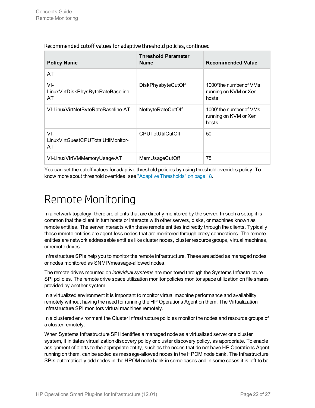| <b>Policy Name</b>                                 | <b>Threshold Parameter</b><br><b>Name</b> | <b>Recommended Value</b>                                  |
|----------------------------------------------------|-------------------------------------------|-----------------------------------------------------------|
| AT                                                 |                                           |                                                           |
| $VI -$<br>LinuxVirtDiskPhysByteRateBaseline-<br>AT | DiskPhysbyteCutOff                        | 1000*the number of VMs<br>running on KVM or Xen<br>hosts  |
| VI-LinuxVirtNetByteRateBaseline-AT                 | NetbyteRateCutOff                         | 1000*the number of VMs<br>running on KVM or Xen<br>hosts. |
| $VI -$<br>LinuxVirtGuestCPUTotalUtilMonitor-<br>AT | <b>CPUTotUtilCutOff</b>                   | 50                                                        |
| VI-LinuxVirtVMMemoryUsage-AT                       | MemUsageCutOff                            | 75                                                        |

### Recommended cutoff values for adaptive threshold policies, continued

<span id="page-21-0"></span>You can set the cutoff values for adaptive threshold policies by using threshold overrides policy. To know more about threshold overrides, see "Adaptive [Thresholds"](#page-17-0) on page 18.

## Remote Monitoring

In a network topology, there are clients that are directly monitored by the server. In such a setup it is common that the client in turn hosts or interacts with other servers, disks, or machines known as remote entities. The server interacts with these remote entities indirectly through the clients. Typically, these remote entities are agent-less nodes that are monitored through proxy connections. The remote entities are network addressable entities like cluster nodes, cluster resource groups, virtual machines, or remote drives.

Infrastructure SPIs help you to monitor the remote infrastructure. These are added as managed nodes or nodes monitored as SNMP/message-allowed nodes.

The remote drives mounted on *individual systems* are monitored through the Systems Infrastructure SPI policies. The remote drive space utilization monitor policies monitor space utilization on file shares provided by another system.

In a virtualized environment it is important to monitor virtual machine performance and availability remotely without having the need for running the HP Operations Agent on them. The Virtualization Infrastructure SPI monitors virtual machines remotely.

In a clustered environment the Cluster Infrastructure policies monitor the nodes and resource groups of a cluster remotely.

When Systems Infrastructure SPI identifies a managed node as a virtualized server or a cluster system, it initiates virtualization discovery policy or cluster discovery policy, as appropriate. To enable assignment of alerts to the appropriate entity, such as the nodes that do not have HP Operations Agent running on them, can be added as message-allowed nodes in the HPOM node bank. The Infrastructure SPIs automatically add nodes in the HPOM node bank in some cases and in some cases it is left to be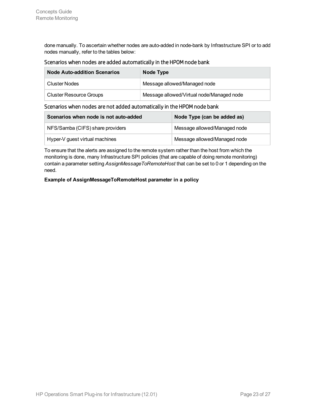done manually. To ascertain whether nodes are auto-added in node-bank by Infrastructure SPI or to add nodes manually, refer to the tables below:

### Scenarios when nodes are added automatically in the HPOM node bank

| <b>Node Auto-addition Scenarios</b> | Node Type                                 |  |  |
|-------------------------------------|-------------------------------------------|--|--|
| Cluster Nodes                       | Message allowed/Managed node              |  |  |
| <b>Cluster Resource Groups</b>      | Message allowed/Virtual node/Managed node |  |  |

### Scenarios when nodes are not added automatically in the HPOM node bank

| Scenarios when node is not auto-added | Node Type (can be added as)  |  |  |
|---------------------------------------|------------------------------|--|--|
| NFS/Samba (CIFS) share providers      | Message allowed/Managed node |  |  |
| Hyper-V guest virtual machines        | Message allowed/Managed node |  |  |

To ensure that the alerts are assigned to the remote system rather than the host from which the monitoring is done, many Infrastructure SPI policies (that are capable of doing remote monitoring) contain a parameter setting *AssignMessageToRemoteHost* that can be set to 0 or 1 depending on the need.

#### **Example of AssignMessageToRemoteHost parameter in a policy**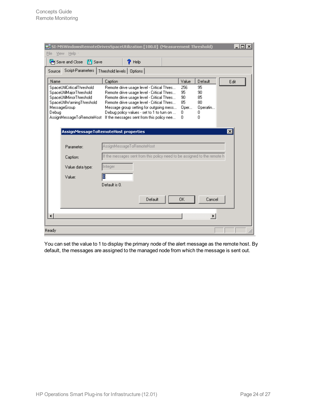| え SI-MSWindowsRemoteDrivesSpaceUtilization [100.0] (Measurement Threshold)<br>Help -<br>File<br>View          |                                                                                                                                                                                  |         |                       |                      | $\Box$          |
|---------------------------------------------------------------------------------------------------------------|----------------------------------------------------------------------------------------------------------------------------------------------------------------------------------|---------|-----------------------|----------------------|-----------------|
| $\mathbb{H}$ Save<br>Save and Close                                                                           | $\gamma$ Help                                                                                                                                                                    |         |                       |                      |                 |
| Script-Parameters  <br>Source                                                                                 | Threshold levels   Options                                                                                                                                                       |         |                       |                      |                 |
| Name                                                                                                          | Caption                                                                                                                                                                          |         | Value                 | Default              | Edit            |
| SpaceUtilCriticalThreshold<br>SpaceUtilMajorThreshold<br>SpaceUtilMinorThreshold<br>SpaceUtilWarningThreshold | Remote drive usage level - Critical Thres<br>Remote drive usage level - Critical Thres<br>Remote drive usage level - Critical Thres<br>Remote drive usage level - Critical Thres |         | 256<br>95<br>90<br>85 | 95<br>90<br>85<br>80 |                 |
| MessageGroup<br>Debug<br>AssignMessageToRemoteHost                                                            | Message group setting for outgoing mess<br>Debug policy values - set to 1 to turn on<br>If the messages sent from this policy nee                                                |         | Oper<br>0<br>0        | Operatin<br>0<br>n   |                 |
|                                                                                                               | AssignMessageToRemoteHost properties                                                                                                                                             |         |                       |                      | $\vert x \vert$ |
| Parameter:                                                                                                    | AssignMessageToRemoteHost                                                                                                                                                        |         |                       |                      |                 |
| Caption:                                                                                                      | If the messages sent from this policy need to be assigned to the remote h                                                                                                        |         |                       |                      |                 |
| Value data type:                                                                                              | Integer                                                                                                                                                                          |         |                       |                      |                 |
| Value:                                                                                                        | О<br>Default is 0.                                                                                                                                                               |         |                       |                      |                 |
|                                                                                                               |                                                                                                                                                                                  | Default | 0K                    | Cancel               |                 |
| $\blacktriangleleft$                                                                                          |                                                                                                                                                                                  |         |                       |                      |                 |
| Ready                                                                                                         |                                                                                                                                                                                  |         |                       |                      |                 |

You can set the value to 1 to display the primary node of the alert message as the remote host. By default, the messages are assigned to the managed node from which the message is sent out.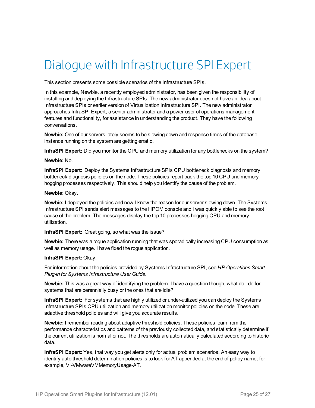## <span id="page-24-0"></span>Dialogue with Infrastructure SPI Expert

This section presents some possible scenarios of the Infrastructure SPIs.

In this example, Newbie, a recently employed administrator, has been given the responsibility of installing and deploying the Infrastructure SPIs. The new administrator does not have an idea about Infrastructure SPIs or earlier version of Virtualization Infrastructure SPI. The new administrator approaches InfraSPI Expert, a senior administrator and a power-user of operations management features and functionality, for assistance in understanding the product. They have the following conversations.

**Newbie:** One of our servers lately seems to be slowing down and response times of the database instance running on the system are getting erratic.

**InfraSPI Expert:** Did you monitor the CPU and memory utilization for any bottlenecks on the system?

#### **Newbie:** No.

**InfraSPI Expert:** Deploy the Systems Infrastructure SPIs CPU bottleneck diagnosis and memory bottleneck diagnosis policies on the node. These policies report back the top 10 CPU and memory hogging processes respectively. This should help you identify the cause of the problem.

#### **Newbie:** Okay.

**Newbie:** I deployed the policies and now I know the reason for our server slowing down. The Systems Infrastructure SPI sends alert messages to the HPOM console and I was quickly able to see the root cause of the problem. The messages display the top 10 processes hogging CPU and memory utilization.

**InfraSPI Expert:** Great going, so what was the issue?

**Newbie:** There was a rogue application running that was sporadically increasing CPU consumption as well as memory usage. I have fixed the rogue application.

### **InfraSPI Expert:** Okay.

For information about the policies provided by Systems Infrastructure SPI, see *HP Operations Smart Plug-in for Systems Infrastructure User Guide*.

**Newbie:** This was a great way of identifying the problem. I have a question though, what do I do for systems that are perennially busy or the ones that are idle?

**InfraSPI Expert:** For systems that are highly utilized or under-utilized you can deploy the Systems Infrastructure SPIs CPU utilization and memory utilization monitor policies on the node. These are adaptive threshold policies and will give you accurate results.

**Newbie:** I remember reading about adaptive threshold policies. These policies learn from the performance characteristics and patterns of the previously collected data, and statistically determine if the current utilization is normal or not. The thresholds are automatically calculated according to historic data.

**InfraSPI Expert:** Yes, that way you get alerts only for actual problem scenarios. An easy way to identify auto threshold determination policies is to look for AT appended at the end of policy name, for example, VI-VMwareVMMemoryUsage-AT.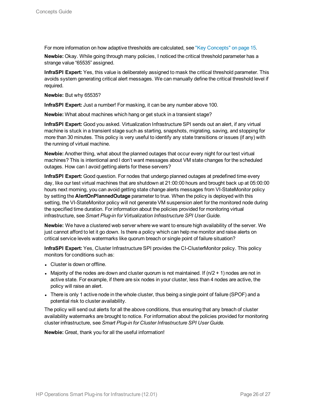For more information on how adaptive thresholds are calculated, see "Key [Concepts"](#page-14-0) on page 15.

**Newbie:** Okay. While going through many policies, I noticed the critical threshold parameter has a strange value "65535" assigned.

**InfraSPI Expert:** Yes, this value is deliberately assigned to mask the critical threshold parameter. This avoids system generating critical alert messages. We can manually define the critical threshold level if required.

**Newbie:** But why 65535?

**InfraSPI Expert:** Just a number! For masking, it can be any number above 100.

**Newbie:** What about machines which hang or get stuck in a transient stage?

**InfraSPI Expert:** Good you asked. Virtualization Infrastructure SPI sends out an alert, if any virtual machine is stuck in a transient stage such as starting, snapshots, migrating, saving, and stopping for more than 30 minutes. This policy is very useful to identify any state transitions or issues (if any) with the running of virtual machine.

**Newbie:** Another thing, what about the planned outages that occur every night for our test virtual machines? This is intentional and I don't want messages about VM state changes for the scheduled outages. How can I avoid getting alerts for these servers?

**InfraSPI Expert:** Good question. For nodes that undergo planned outages at predefined time every day, like our test virtual machines that are shutdown at 21:00:00 hours and brought back up at 05:00:00 hours next morning, you can avoid getting state change alerts messages from VI-StateMonitor policy by setting the **AlertOnPlannedOutage** parameter to true. When the policy is deployed with this setting, the VI-StateMonitor policy will not generate VM suspension alert for the monitored node during the specified time duration. For information about the policies provided for monitoring virtual infrastructure, see *Smart Plug-in for Virtualization Infrastructure SPI User Guide.*

**Newbie:** We have a clustered web server where we want to ensure high availability of the server. We just cannot afford to let it go down. Is there a policy which can help me monitor and raise alerts on critical service levels watermarks like quorum breach or single point of failure situation?

**InfraSPI Expert:** Yes, Cluster Infrastructure SPI provides the CI-ClusterMonitor policy. This policy monitors for conditions such as:

- Cluster is down or offline.
- Majority of the nodes are down and cluster quorum is not maintained. If  $(n/2 + 1)$  nodes are not in active state. For example, if there are six nodes in your cluster, less than 4 nodes are active, the policy will raise an alert.
- There is only 1 active node in the whole cluster, thus being a single point of failure (SPOF) and a potential risk to cluster availability.

The policy will send out alerts for all the above conditions, thus ensuring that any breach of cluster availability watermarks are brought to notice. For information about the policies provided for monitoring cluster infrastructure, see *Smart Plug-in for Cluster Infrastructure SPI User Guide.*

**Newbie:** Great, thank you for all the useful information!